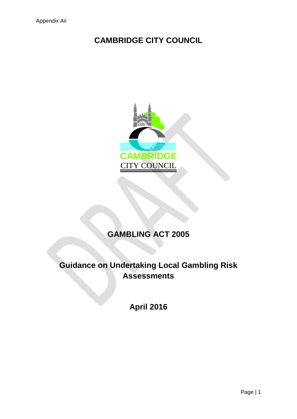## **CAMBRIDGE CITY COUNCIL**



# **GAMBLING ACT 2005**

## **Guidance on Undertaking Local Gambling Risk Assessments**

**April 2016**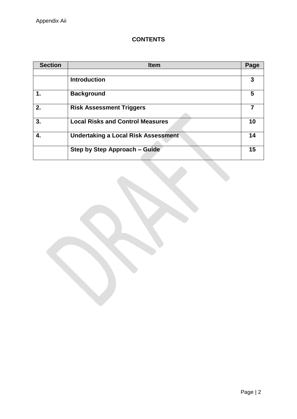## **CONTENTS**

| <b>Section</b> | <b>Item</b>                                | Page |
|----------------|--------------------------------------------|------|
|                | <b>Introduction</b>                        | 3    |
| 1.             | <b>Background</b>                          | 5    |
| 2.             | <b>Risk Assessment Triggers</b>            |      |
| 3.             | <b>Local Risks and Control Measures</b>    | 10   |
| 4.             | <b>Undertaking a Local Risk Assessment</b> | 14   |
|                | <b>Step by Step Approach - Guide</b>       | 15   |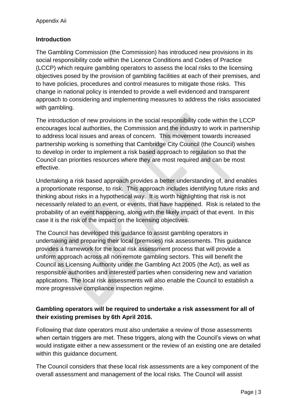## **Introduction**

The Gambling Commission (the Commission) has introduced new provisions in its social responsibility code within the Licence Conditions and Codes of Practice (LCCP) which require gambling operators to assess the local risks to the licensing objectives posed by the provision of gambling facilities at each of their premises, and to have policies, procedures and control measures to mitigate those risks. This change in national policy is intended to provide a well evidenced and transparent approach to considering and implementing measures to address the risks associated with gambling.

The introduction of new provisions in the social responsibility code within the LCCP encourages local authorities, the Commission and the industry to work in partnership to address local issues and areas of concern. This movement towards increased partnership working is something that Cambridge City Council (the Council) wishes to develop in order to implement a risk based approach to regulation so that the Council can priorities resources where they are most required and can be most effective.

Undertaking a risk based approach provides a better understanding of, and enables a proportionate response, to risk. This approach includes identifying future risks and thinking about risks in a hypothetical way. It is worth highlighting that risk is not necessarily related to an event, or events, that have happened. Risk is related to the probability of an event happening, along with the likely impact of that event. In this case it is the risk of the impact on the licensing objectives.

The Council has developed this guidance to assist gambling operators in undertaking and preparing their local (premises) risk assessments. This guidance provides a framework for the local risk assessment process that will provide a uniform approach across all non-remote gambling sectors. This will benefit the Council as Licensing Authority under the Gambling Act 2005 (the Act), as well as responsible authorities and interested parties when considering new and variation applications. The local risk assessments will also enable the Council to establish a more progressive compliance inspection regime.

## **Gambling operators will be required to undertake a risk assessment for all of their existing premises by 6th April 2016.**

Following that date operators must also undertake a review of those assessments when certain triggers are met. These triggers, along with the Council's views on what would instigate either a new assessment or the review of an existing one are detailed within this guidance document.

The Council considers that these local risk assessments are a key component of the overall assessment and management of the local risks. The Council will assist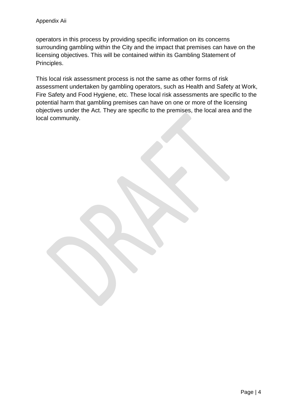operators in this process by providing specific information on its concerns surrounding gambling within the City and the impact that premises can have on the licensing objectives. This will be contained within its Gambling Statement of Principles.

This local risk assessment process is not the same as other forms of risk assessment undertaken by gambling operators, such as Health and Safety at Work, Fire Safety and Food Hygiene, etc. These local risk assessments are specific to the potential harm that gambling premises can have on one or more of the licensing objectives under the Act. They are specific to the premises, the local area and the local community.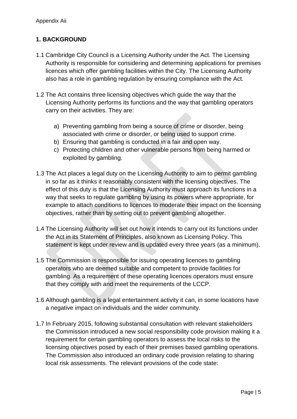## **1. BACKGROUND**

- 1.1 Cambridge City Council is a Licensing Authority under the Act. The Licensing Authority is responsible for considering and determining applications for premises licences which offer gambling facilities within the City. The Licensing Authority also has a role in gambling regulation by ensuring compliance with the Act.
- 1.2 The Act contains three licensing objectives which guide the way that the Licensing Authority performs its functions and the way that gambling operators carry on their activities. They are:
	- a) Preventing gambling from being a source of crime or disorder, being associated with crime or disorder, or being used to support crime.
	- b) Ensuring that gambling is conducted in a fair and open way.
	- c) Protecting children and other vulnerable persons from being harmed or exploited by gambling.
- 1.3 The Act places a legal duty on the Licensing Authority to aim to permit gambling in so far as it thinks it reasonably consistent with the licensing objectives. The effect of this duty is that the Licensing Authority must approach its functions in a way that seeks to regulate gambling by using its powers where appropriate, for example to attach conditions to licences to moderate their impact on the licensing objectives, rather than by setting out to prevent gambling altogether.
- 1.4 The Licensing Authority will set out how it intends to carry out its functions under the Act in its Statement of Principles, also known as Licensing Policy. This statement is kept under review and is updated every three years (as a minimum).
- 1.5 The Commission is responsible for issuing operating licences to gambling operators who are deemed suitable and competent to provide facilities for gambling. As a requirement of these operating licences operators must ensure that they comply with and meet the requirements of the LCCP.
- 1.6 Although gambling is a legal entertainment activity it can, in some locations have a negative impact on individuals and the wider community.
- 1.7 In February 2015, following substantial consultation with relevant stakeholders the Commission introduced a new social responsibility code provision making it a requirement for certain gambling operators to assess the local risks to the licensing objectives posed by each of their premises based gambling operations. The Commission also introduced an ordinary code provision relating to sharing local risk assessments. The relevant provisions of the code state: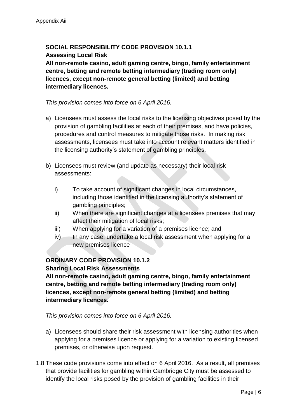## **SOCIAL RESPONSIBILITY CODE PROVISION 10.1.1 Assessing Local Risk**

**All non-remote casino, adult gaming centre, bingo, family entertainment centre, betting and remote betting intermediary (trading room only) licences, except non-remote general betting (limited) and betting intermediary licences.**

#### *This provision comes into force on 6 April 2016.*

- a) Licensees must assess the local risks to the licensing objectives posed by the provision of gambling facilities at each of their premises, and have policies, procedures and control measures to mitigate those risks. In making risk assessments, licensees must take into account relevant matters identified in the licensing authority's statement of gambling principles.
- b) Licensees must review (and update as necessary) their local risk assessments:
	- i) To take account of significant changes in local circumstances, including those identified in the licensing authority's statement of gambling principles;
	- ii) When there are significant changes at a licensees premises that may affect their mitigation of local risks;
	- iii) When applying for a variation of a premises licence; and
	- iv) In any case, undertake a local risk assessment when applying for a new premises licence

## **ORDINARY CODE PROVISION 10.1.2 Sharing Local Risk Assessments**

**All non-remote casino, adult gaming centre, bingo, family entertainment centre, betting and remote betting intermediary (trading room only) licences, except non-remote general betting (limited) and betting intermediary licences.**

*This provision comes into force on 6 April 2016.*

- a) Licensees should share their risk assessment with licensing authorities when applying for a premises licence or applying for a variation to existing licensed premises, or otherwise upon request.
- 1.8 These code provisions come into effect on 6 April 2016. As a result, all premises that provide facilities for gambling within Cambridge City must be assessed to identify the local risks posed by the provision of gambling facilities in their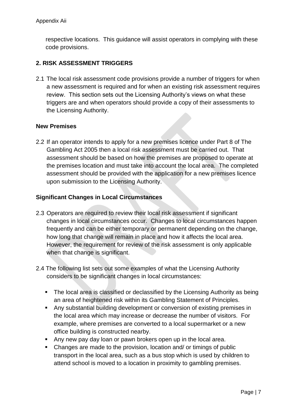respective locations. This guidance will assist operators in complying with these code provisions.

## **2. RISK ASSESSMENT TRIGGERS**

2.1 The local risk assessment code provisions provide a number of triggers for when a new assessment is required and for when an existing risk assessment requires review. This section sets out the Licensing Authority's views on what these triggers are and when operators should provide a copy of their assessments to the Licensing Authority.

#### **New Premises**

2.2 If an operator intends to apply for a new premises licence under Part 8 of The Gambling Act 2005 then a local risk assessment must be carried out. That assessment should be based on how the premises are proposed to operate at the premises location and must take into account the local area. The completed assessment should be provided with the application for a new premises licence upon submission to the Licensing Authority.

#### **Significant Changes in Local Circumstances**

- 2.3 Operators are required to review their local risk assessment if significant changes in local circumstances occur. Changes to local circumstances happen frequently and can be either temporary or permanent depending on the change, how long that change will remain in place and how it affects the local area. However, the requirement for review of the risk assessment is only applicable when that change is significant.
- 2.4 The following list sets out some examples of what the Licensing Authority considers to be significant changes in local circumstances:
	- The local area is classified or declassified by the Licensing Authority as being an area of heightened risk within its Gambling Statement of Principles.
	- Any substantial building development or conversion of existing premises in the local area which may increase or decrease the number of visitors. For example, where premises are converted to a local supermarket or a new office building is constructed nearby.
	- Any new pay day loan or pawn brokers open up in the local area.
	- Changes are made to the provision, location and/ or timings of public transport in the local area, such as a bus stop which is used by children to attend school is moved to a location in proximity to gambling premises.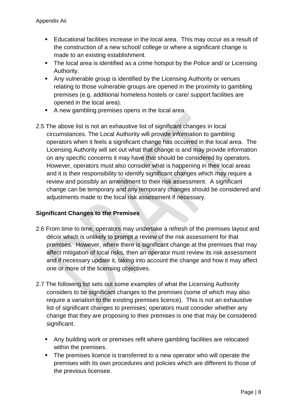- Educational facilities increase in the local area. This may occur as a result of the construction of a new school/ college or where a significant change is made to an existing establishment.
- The local area is identified as a crime hotspot by the Police and/ or Licensing Authority.
- Any vulnerable group is identified by the Licensing Authority or venues relating to those vulnerable groups are opened in the proximity to gambling premises (e.g. additional homeless hostels or care/ support facilities are opened in the local area).
- A new gambling premises opens in the local area.
- 2.5 The above list is not an exhaustive list of significant changes in local circumstances. The Local Authority will provide information to gambling operators when it feels a significant change has occurred in the local area. The Licensing Authority will set out what that change is and may provide information on any specific concerns it may have that should be considered by operators. However, operators must also consider what is happening in their local areas and it is their responsibility to identify significant changes which may require a review and possibly an amendment to their risk assessment. A significant change can be temporary and any temporary changes should be considered and adjustments made to the local risk assessment if necessary.

## **Significant Changes to the Premises**

- 2.6 From time to time, operators may undertake a refresh of the premises layout and décor which is unlikely to prompt a review of the risk assessment for that premises. However, where there is significant change at the premises that may affect mitigation of local risks, then an operator must review its risk assessment and if necessary update it, taking into account the change and how it may affect one or more of the licensing objectives.
- 2.7 The following list sets out some examples of what the Licensing Authority considers to be significant changes to the premises (some of which may also require a variation to the existing premises licence). This is not an exhaustive list of significant changes to premises; operators must consider whether any change that they are proposing to their premises is one that may be considered significant.
	- Any building work or premises refit where gambling facilities are relocated within the premises.
	- The premises licence is transferred to a new operator who will operate the premises with its own procedures and policies which are different to those of the previous licensee.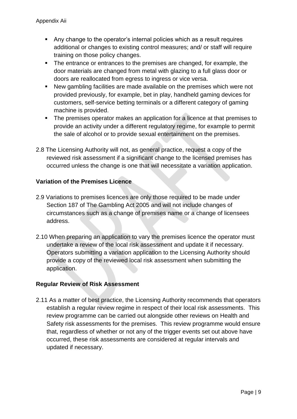- Any change to the operator's internal policies which as a result requires additional or changes to existing control measures; and/ or staff will require training on those policy changes.
- The entrance or entrances to the premises are changed, for example, the door materials are changed from metal with glazing to a full glass door or doors are reallocated from egress to ingress or vice versa.
- New gambling facilities are made available on the premises which were not provided previously, for example, bet in play, handheld gaming devices for customers, self-service betting terminals or a different category of gaming machine is provided.
- The premises operator makes an application for a licence at that premises to provide an activity under a different regulatory regime, for example to permit the sale of alcohol or to provide sexual entertainment on the premises.
- 2.8 The Licensing Authority will not, as general practice, request a copy of the reviewed risk assessment if a significant change to the licensed premises has occurred unless the change is one that will necessitate a variation application.

## **Variation of the Premises Licence**

- 2.9 Variations to premises licences are only those required to be made under Section 187 of The Gambling Act 2005 and will not include changes of circumstances such as a change of premises name or a change of licensees address.
- 2.10 When preparing an application to vary the premises licence the operator must undertake a review of the local risk assessment and update it if necessary. Operators submitting a variation application to the Licensing Authority should provide a copy of the reviewed local risk assessment when submitting the application.

## **Regular Review of Risk Assessment**

2.11 As a matter of best practice, the Licensing Authority recommends that operators establish a regular review regime in respect of their local risk assessments. This review programme can be carried out alongside other reviews on Health and Safety risk assessments for the premises. This review programme would ensure that, regardless of whether or not any of the trigger events set out above have occurred, these risk assessments are considered at regular intervals and updated if necessary.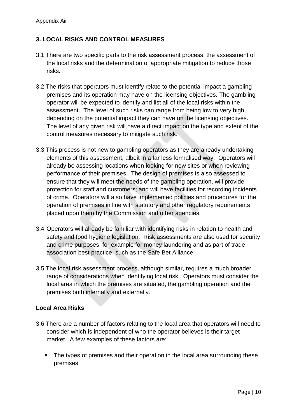## **3. LOCAL RISKS AND CONTROL MEASURES**

- 3.1 There are two specific parts to the risk assessment process, the assessment of the local risks and the determination of appropriate mitigation to reduce those risks.
- 3.2 The risks that operators must identify relate to the potential impact a gambling premises and its operation may have on the licensing objectives. The gambling operator will be expected to identify and list all of the local risks within the assessment. The level of such risks can range from being low to very high depending on the potential impact they can have on the licensing objectives. The level of any given risk will have a direct impact on the type and extent of the control measures necessary to mitigate such risk.
- 3.3 This process is not new to gambling operators as they are already undertaking elements of this assessment, albeit in a far less formalised way. Operators will already be assessing locations when looking for new sites or when reviewing performance of their premises. The design of premises is also assessed to ensure that they will meet the needs of the gambling operation, will provide protection for staff and customers; and will have facilities for recording incidents of crime. Operators will also have implemented policies and procedures for the operation of premises in line with statutory and other regulatory requirements placed upon them by the Commission and other agencies.
- 3.4 Operators will already be familiar with identifying risks in relation to health and safety and food hygiene legislation. Risk assessments are also used for security and crime purposes, for example for money laundering and as part of trade association best practice, such as the Safe Bet Alliance.
- 3.5 The local risk assessment process, although similar, requires a much broader range of considerations when identifying local risk. Operators must consider the local area in which the premises are situated, the gambling operation and the premises both internally and externally.

#### **Local Area Risks**

- 3.6 There are a number of factors relating to the local area that operators will need to consider which is independent of who the operator believes is their target market. A few examples of these factors are:
	- The types of premises and their operation in the local area surrounding these premises.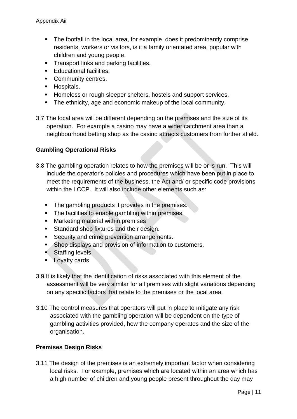- The footfall in the local area, for example, does it predominantly comprise residents, workers or visitors, is it a family orientated area, popular with children and young people.
- **Transport links and parking facilities.**
- **Educational facilities.**
- Community centres.
- **Hospitals.**
- **Homeless or rough sleeper shelters, hostels and support services.**
- The ethnicity, age and economic makeup of the local community.
- 3.7 The local area will be different depending on the premises and the size of its operation. For example a casino may have a wider catchment area than a neighbourhood betting shop as the casino attracts customers from further afield.

## **Gambling Operational Risks**

- 3.8 The gambling operation relates to how the premises will be or is run. This will include the operator's policies and procedures which have been put in place to meet the requirements of the business, the Act and/ or specific code provisions within the LCCP. It will also include other elements such as:
	- The gambling products it provides in the premises.
	- The facilities to enable gambling within premises.
	- **Marketing material within premises**
	- **Standard shop fixtures and their design.**
	- **Security and crime prevention arrangements.**
	- **Shop displays and provision of information to customers.**
	- Staffing levels
	- **Loyalty cards**
- 3.9 It is likely that the identification of risks associated with this element of the assessment will be very similar for all premises with slight variations depending on any specific factors that relate to the premises or the local area.
- 3.10 The control measures that operators will put in place to mitigate any risk associated with the gambling operation will be dependent on the type of gambling activities provided, how the company operates and the size of the organisation.

#### **Premises Design Risks**

3.11 The design of the premises is an extremely important factor when considering local risks. For example, premises which are located within an area which has a high number of children and young people present throughout the day may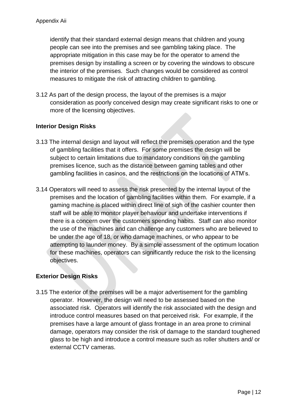identify that their standard external design means that children and young people can see into the premises and see gambling taking place. The appropriate mitigation in this case may be for the operator to amend the premises design by installing a screen or by covering the windows to obscure the interior of the premises. Such changes would be considered as control measures to mitigate the risk of attracting children to gambling.

3.12 As part of the design process, the layout of the premises is a major consideration as poorly conceived design may create significant risks to one or more of the licensing objectives.

#### **Interior Design Risks**

- 3.13 The internal design and layout will reflect the premises operation and the type of gambling facilities that it offers. For some premises the design will be subject to certain limitations due to mandatory conditions on the gambling premises licence, such as the distance between gaming tables and other gambling facilities in casinos, and the restrictions on the locations of ATM's.
- 3.14 Operators will need to assess the risk presented by the internal layout of the premises and the location of gambling facilities within them. For example, if a gaming machine is placed within direct line of sigh of the cashier counter then staff will be able to monitor player behaviour and undertake interventions if there is a concern over the customers spending habits. Staff can also monitor the use of the machines and can challenge any customers who are believed to be under the age of 18, or who damage machines, or who appear to be attempting to launder money. By a simple assessment of the optimum location for these machines, operators can significantly reduce the risk to the licensing objectives.

## **Exterior Design Risks**

3.15 The exterior of the premises will be a major advertisement for the gambling operator. However, the design will need to be assessed based on the associated risk. Operators will identify the risk associated with the design and introduce control measures based on that perceived risk. For example, if the premises have a large amount of glass frontage in an area prone to criminal damage, operators may consider the risk of damage to the standard toughened glass to be high and introduce a control measure such as roller shutters and/ or external CCTV cameras.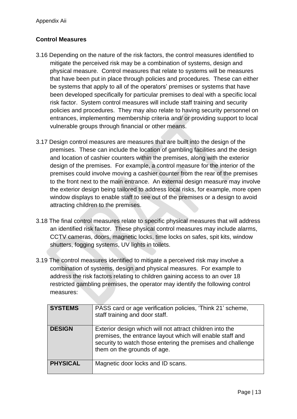## **Control Measures**

- 3.16 Depending on the nature of the risk factors, the control measures identified to mitigate the perceived risk may be a combination of systems, design and physical measure. Control measures that relate to systems will be measures that have been put in place through policies and procedures. These can either be systems that apply to all of the operators' premises or systems that have been developed specifically for particular premises to deal with a specific local risk factor. System control measures will include staff training and security policies and procedures. They may also relate to having security personnel on entrances, implementing membership criteria and/ or providing support to local vulnerable groups through financial or other means.
- 3.17 Design control measures are measures that are built into the design of the premises. These can include the location of gambling facilities and the design and location of cashier counters within the premises, along with the exterior design of the premises. For example, a control measure for the interior of the premises could involve moving a cashier counter from the rear of the premises to the front next to the main entrance. An external design measure may involve the exterior design being tailored to address local risks, for example, more open window displays to enable staff to see out of the premises or a design to avoid attracting children to the premises.
- 3.18 The final control measures relate to specific physical measures that will address an identified risk factor. These physical control measures may include alarms, CCTV cameras, doors, magnetic locks, time locks on safes, spit kits, window shutters, fogging systems, UV lights in toilets.
- 3.19 The control measures identified to mitigate a perceived risk may involve a combination of systems, design and physical measures. For example to address the risk factors relating to children gaining access to an over 18 restricted gambling premises, the operator may identify the following control measures:

| <b>SYSTEMS</b>  | PASS card or age verification policies, 'Think 21' scheme,<br>staff training and door staff.                                                                                                                        |
|-----------------|---------------------------------------------------------------------------------------------------------------------------------------------------------------------------------------------------------------------|
| <b>DESIGN</b>   | Exterior design which will not attract children into the<br>premises, the entrance layout which will enable staff and<br>security to watch those entering the premises and challenge<br>them on the grounds of age. |
| <b>PHYSICAL</b> | Magnetic door locks and ID scans.                                                                                                                                                                                   |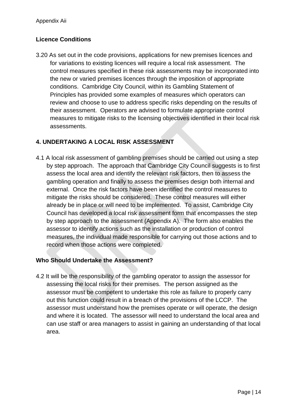## **Licence Conditions**

3.20 As set out in the code provisions, applications for new premises licences and for variations to existing licences will require a local risk assessment. The control measures specified in these risk assessments may be incorporated into the new or varied premises licences through the imposition of appropriate conditions. Cambridge City Council, within its Gambling Statement of Principles has provided some examples of measures which operators can review and choose to use to address specific risks depending on the results of their assessment. Operators are advised to formulate appropriate control measures to mitigate risks to the licensing objectives identified in their local risk assessments.

## **4. UNDERTAKING A LOCAL RISK ASSESSMENT**

4.1 A local risk assessment of gambling premises should be carried out using a step by step approach. The approach that Cambridge City Council suggests is to first assess the local area and identify the relevant risk factors, then to assess the gambling operation and finally to assess the premises design both internal and external. Once the risk factors have been identified the control measures to mitigate the risks should be considered. These control measures will either already be in place or will need to be implemented. To assist, Cambridge City Council has developed a local risk assessment form that encompasses the step by step approach to the assessment (Appendix A). The form also enables the assessor to identify actions such as the installation or production of control measures, the individual made responsible for carrying out those actions and to record when those actions were completed.

## **Who Should Undertake the Assessment?**

4.2 It will be the responsibility of the gambling operator to assign the assessor for assessing the local risks for their premises. The person assigned as the assessor must be competent to undertake this role as failure to properly carry out this function could result in a breach of the provisions of the LCCP. The assessor must understand how the premises operate or will operate, the design and where it is located. The assessor will need to understand the local area and can use staff or area managers to assist in gaining an understanding of that local area.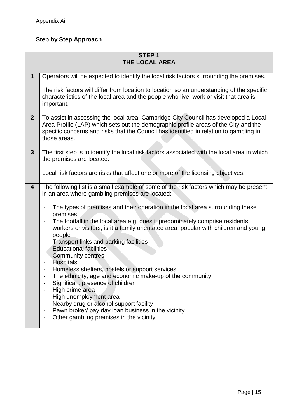## **Step by Step Approach**

| STEP <sub>1</sub><br><b>THE LOCAL AREA</b>                                                                                                                                                                                                                                           |  |  |
|--------------------------------------------------------------------------------------------------------------------------------------------------------------------------------------------------------------------------------------------------------------------------------------|--|--|
|                                                                                                                                                                                                                                                                                      |  |  |
| Operators will be expected to identify the local risk factors surrounding the premises.<br>The risk factors will differ from location to location so an understanding of the specific<br>characteristics of the local area and the people who live, work or visit that area is       |  |  |
| important.                                                                                                                                                                                                                                                                           |  |  |
| To assist in assessing the local area, Cambridge City Council has developed a Local<br>Area Profile (LAP) which sets out the demographic profile areas of the City and the<br>specific concerns and risks that the Council has identified in relation to gambling in<br>those areas. |  |  |
| The first step is to identify the local risk factors associated with the local area in which<br>the premises are located.<br>Local risk factors are risks that affect one or more of the licensing objectives.                                                                       |  |  |
|                                                                                                                                                                                                                                                                                      |  |  |
| The following list is a small example of some of the risk factors which may be present<br>in an area where gambling premises are located:                                                                                                                                            |  |  |
| The types of premises and their operation in the local area surrounding these<br>premises                                                                                                                                                                                            |  |  |
| The footfall in the local area e.g. does it predominately comprise residents,<br>workers or visitors, is it a family orientated area, popular with children and young<br>people                                                                                                      |  |  |
| Transport links and parking facilities<br><b>Educational facilities</b><br>$\blacksquare$                                                                                                                                                                                            |  |  |
| <b>Community centres</b><br>$\overline{\phantom{a}}$<br><b>Hospitals</b><br>$\overline{\phantom{a}}$                                                                                                                                                                                 |  |  |
| Homeless shelters, hostels or support services                                                                                                                                                                                                                                       |  |  |
| The ethnicity, age and economic make-up of the community                                                                                                                                                                                                                             |  |  |
| Significant presence of children<br>High crime area                                                                                                                                                                                                                                  |  |  |
| High unemployment area                                                                                                                                                                                                                                                               |  |  |
| Nearby drug or alcohol support facility<br>-                                                                                                                                                                                                                                         |  |  |
| Pawn broker/ pay day loan business in the vicinity<br>Other gambling premises in the vicinity                                                                                                                                                                                        |  |  |
|                                                                                                                                                                                                                                                                                      |  |  |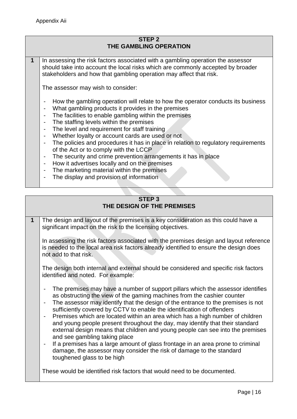### **STEP 2 THE GAMBLING OPERATION**

**1** In assessing the risk factors associated with a gambling operation the assessor should take into account the local risks which are commonly accepted by broader stakeholders and how that gambling operation may affect that risk.

The assessor may wish to consider:

- How the gambling operation will relate to how the operator conducts its business
- What gambling products it provides in the premises
- The facilities to enable gambling within the premises
- The staffing levels within the premises
- The level and requirement for staff training
- Whether loyalty or account cards are used or not
- The policies and procedures it has in place in relation to regulatory requirements of the Act or to comply with the LCCP
- The security and crime prevention arrangements it has in place
- How it advertises locally and on the premises
- The marketing material within the premises
- The display and provision of information

## **STEP 3 THE DESIGN OF THE PREMISES**

**1** The design and layout of the premises is a key consideration as this could have a significant impact on the risk to the licensing objectives.

In assessing the risk factors associated with the premises design and layout reference is needed to the local area risk factors already identified to ensure the design does not add to that risk.

The design both internal and external should be considered and specific risk factors identified and noted. For example:

- The premises may have a number of support pillars which the assessor identifies as obstructing the view of the gaming machines from the cashier counter
- The assessor may identify that the design of the entrance to the premises is not sufficiently covered by CCTV to enable the identification of offenders
- Premises which are located within an area which has a high number of children and young people present throughout the day, may identify that their standard external design means that children and young people can see into the premises and see gambling taking place
- If a premises has a large amount of glass frontage in an area prone to criminal damage, the assessor may consider the risk of damage to the standard toughened glass to be high

These would be identified risk factors that would need to be documented.